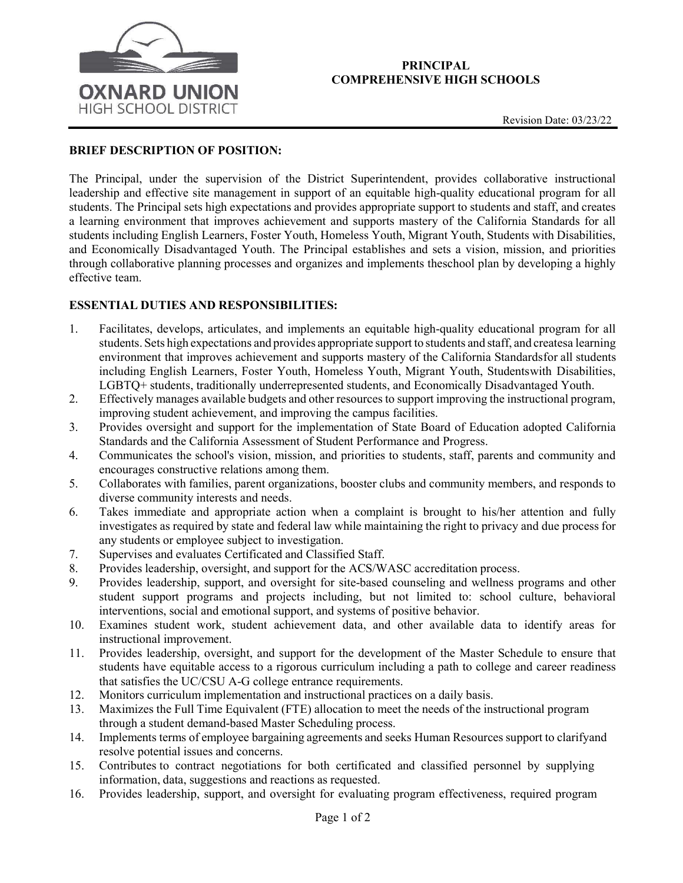

## PRINCIPAL COMPREHENSIVE HIGH SCHOOLS

## BRIEF DESCRIPTION OF POSITION:

The Principal, under the supervision of the District Superintendent, provides collaborative instructional leadership and effective site management in support of an equitable high-quality educational program for all students. The Principal sets high expectations and provides appropriate support to students and staff, and creates a learning environment that improves achievement and supports mastery of the California Standards for all students including English Learners, Foster Youth, Homeless Youth, Migrant Youth, Students with Disabilities, and Economically Disadvantaged Youth. The Principal establishes and sets a vision, mission, and priorities through collaborative planning processes and organizes and implements theschool plan by developing a highly effective team.

## ESSENTIAL DUTIES AND RESPONSIBILITIES:

- 1. Facilitates, develops, articulates, and implements an equitable high-quality educational program for all students. Sets high expectations and provides appropriate support to students and staff, and createsa learning environment that improves achievement and supports mastery of the California Standards for all students including English Learners, Foster Youth, Homeless Youth, Migrant Youth, Students with Disabilities, LGBTQ+ students, traditionally underrepresented students, and Economically Disadvantaged Youth.
- 2. Effectively manages available budgets and other resources to support improving the instructional program, improving student achievement, and improving the campus facilities.
- 3. Provides oversight and support for the implementation of State Board of Education adopted California Standards and the California Assessment of Student Performance and Progress.
- 4. Communicates the school's vision, mission, and priorities to students, staff, parents and community and encourages constructive relations among them.
- 5. Collaborates with families, parent organizations, booster clubs and community members, and responds to diverse community interests and needs.
- 6. Takes immediate and appropriate action when a complaint is brought to his/her attention and fully investigates as required by state and federal law while maintaining the right to privacy and due process for any students or employee subject to investigation.
- 7. Supervises and evaluates Certificated and Classified Staff.
- 8. Provides leadership, oversight, and support for the ACS/WASC accreditation process.
- 9. Provides leadership, support, and oversight for site-based counseling and wellness programs and other student support programs and projects including, but not limited to: school culture, behavioral interventions, social and emotional support, and systems of positive behavior.
- 10. Examines student work, student achievement data, and other available data to identify areas for instructional improvement.
- 11. Provides leadership, oversight, and support for the development of the Master Schedule to ensure that students have equitable access to a rigorous curriculum including a path to college and career readiness that satisfies the UC/CSU A-G college entrance requirements.
- 12. Monitors curriculum implementation and instructional practices on a daily basis.
- 13. Maximizes the Full Time Equivalent (FTE) allocation to meet the needs of the instructional program through a student demand-based Master Scheduling process.
- 14. Implements terms of employee bargaining agreements and seeks Human Resources support to clarify and resolve potential issues and concerns.
- 15. Contributes to contract negotiations for both certificated and classified personnel by supplying information, data, suggestions and reactions as requested.
- 16. Provides leadership, support, and oversight for evaluating program effectiveness, required program